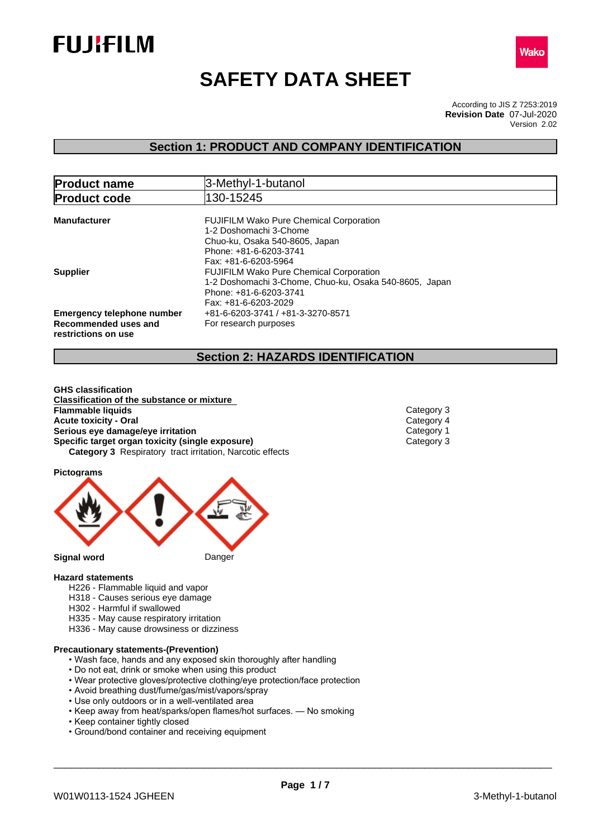



# **SAFETY DATA SHEET**

According to JIS Z 7253:2019 Version 2.02 **Revision Date** 07-Jul-2020

## **Section 1: PRODUCT AND COMPANY IDENTIFICATION**

| <b>Product name</b>                                                              | 3-Methyl-1-butanol                                                                                                                                           |
|----------------------------------------------------------------------------------|--------------------------------------------------------------------------------------------------------------------------------------------------------------|
| <b>Product code</b>                                                              | 130-15245                                                                                                                                                    |
| <b>Manufacturer</b>                                                              | <b>FUJIFILM Wako Pure Chemical Corporation</b><br>1-2 Doshomachi 3-Chome<br>Chuo-ku, Osaka 540-8605, Japan<br>Phone: +81-6-6203-3741<br>Fax: +81-6-6203-5964 |
| Supplier                                                                         | <b>FUJIFILM Wako Pure Chemical Corporation</b><br>1-2 Doshomachi 3-Chome, Chuo-ku, Osaka 540-8605, Japan<br>Phone: +81-6-6203-3741<br>Fax: +81-6-6203-2029   |
| <b>Emergency telephone number</b><br>Recommended uses and<br>restrictions on use | +81-6-6203-3741 / +81-3-3270-8571<br>For research purposes                                                                                                   |

## **Section 2: HAZARDS IDENTIFICATION**

**GHS classification Classification of the substance or mixture Acute toxicity - Oral** Category 4<br> **Serious eye damage/eye irritation**<br>
Category 1 **Serious eye damage/eye irritation**<br> **Specific target organ toxicity (single exposure)**<br>
Category 3 **Specific target organ toxicity (single exposure) Category 3** Respiratory tract irritation, Narcotic effects **Flammable liquids** Category 3

**Pictograms**



#### **Hazard statements**

- H226 Flammable liquid and vapor
- H318 Causes serious eye damage
- H302 Harmful if swallowed
- H335 May cause respiratory irritation
- H336 May cause drowsiness or dizziness

### **Precautionary statements-(Prevention)**

- Wash face, hands and any exposed skin thoroughly after handling
- Do not eat, drink or smoke when using this product
- Wear protective gloves/protective clothing/eye protection/face protection
- Avoid breathing dust/fume/gas/mist/vapors/spray
- Use only outdoors or in a well-ventilated area
- Keep away from heat/sparks/open flames/hot surfaces. No smoking
- Keep container tightly closed
- Ground/bond container and receiving equipment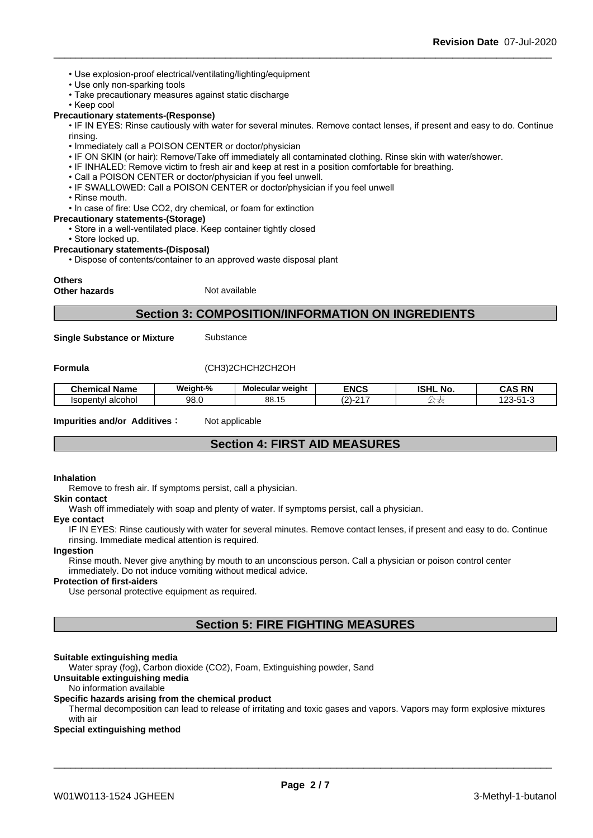- Use explosion-proof electrical/ventilating/lighting/equipment
- Use only non-sparking tools
- Take precautionary measures against static discharge
- Keep cool

### **Precautionary statements-(Response)**

• IF IN EYES: Rinse cautiously with water for several minutes. Remove contact lenses, if present and easy to do. Continue rinsing.

- Immediately call a POISON CENTER or doctor/physician
- IF ON SKIN (or hair): Remove/Take off immediately all contaminated clothing. Rinse skin with water/shower.
- IF INHALED: Remove victim to fresh air and keep at rest in a position comfortable for breathing.
- Call a POISON CENTER or doctor/physician if you feel unwell.
- IF SWALLOWED: Call a POISON CENTER or doctor/physician if you feel unwell
- Rinse mouth.
- In case of fire: Use CO2, dry chemical, or foam for extinction
- **Precautionary statements-(Storage)**
	- Store in a well-ventilated place. Keep container tightly closed
	- Store locked up.

### **Precautionary statements-(Disposal)**

• Dispose of contents/container to an approved waste disposal plant

### **Others**

**Other hazards** Not available

### **Section 3: COMPOSITION/INFORMATION ON INGREDIENTS**

**Single Substance or Mixture** Substance

### **Formula** (CH3)2CHCH2CH2OH

| . .<br><b>Chemical Name</b> | Weiaht-% | Molecular weight | <b>ENCS</b> | <b>ISHL</b><br>. NO | <b>CAS RN</b><br>CAS<br>N |
|-----------------------------|----------|------------------|-------------|---------------------|---------------------------|
| alcohol                     | വറ       | nn               | $.04 -$     |                     | $\sim$                    |
| <b>Isopentyl</b>            | JU.U     | טט. וט           | $\sim$      |                     | ີ                         |

**Impurities and/or Additives:** Not applicable

### **Section 4: FIRST AID MEASURES**

#### **Inhalation**

Remove to fresh air. If symptoms persist, call a physician.

#### **Skin contact**

Wash off immediately with soap and plenty of water. If symptoms persist, call a physician.

## **Eye contact**

IF IN EYES: Rinse cautiously with water for several minutes. Remove contact lenses, if present and easy to do. Continue rinsing. Immediate medical attention is required.

### **Ingestion**

Rinse mouth. Never give anything by mouth to an unconscious person. Call a physician or poison control center immediately. Do not induce vomiting without medical advice.

### **Protection of first-aiders**

Use personal protective equipment as required.

## **Section 5: FIRE FIGHTING MEASURES**

### **Suitable extinguishing media**

Water spray (fog), Carbon dioxide (CO2), Foam, Extinguishing powder, Sand

**Unsuitable extinguishing media**

### No information available

### **Specific hazards arising from the chemical product**

Thermal decomposition can lead to release of irritating and toxic gases and vapors. Vapors may form explosive mixtures with air

### **Special extinguishing method**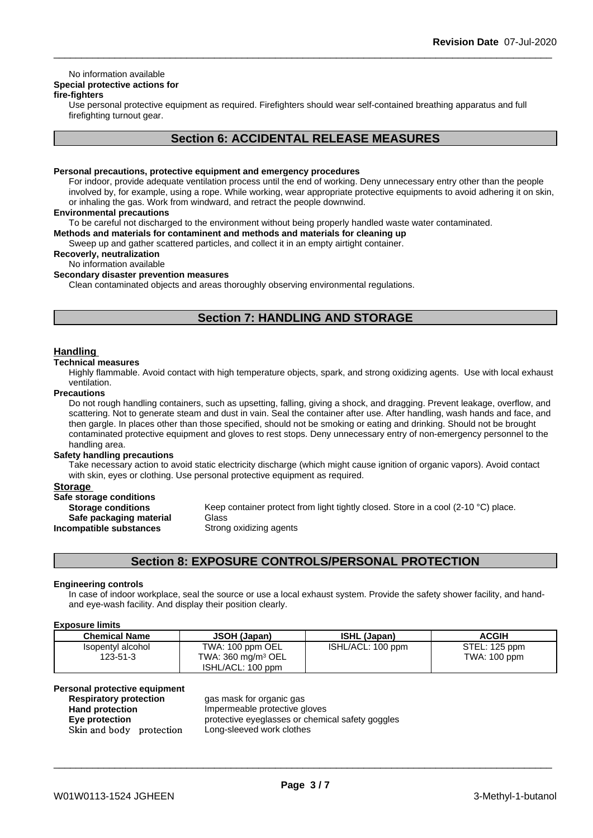### No information available

## **Special protective actions for**

### **fire-fighters**

Use personal protective equipment as required.Firefighters should wear self-contained breathing apparatus and full firefighting turnout gear.

## **Section 6: ACCIDENTAL RELEASE MEASURES**

### **Personal precautions, protective equipment and emergency procedures**

For indoor, provide adequate ventilation process until the end of working. Deny unnecessary entry other than the people involved by, for example, using a rope. While working, wear appropriate protective equipments to avoid adhering it on skin, or inhaling the gas. Work from windward, and retract the people downwind.

### **Environmental precautions**

To be careful not discharged to the environment without being properly handled waste water contaminated.

### **Methods and materials for contaminent and methods and materials for cleaning up**

Sweep up and gather scattered particles, and collect it in an empty airtight container.

## **Recoverly, neutralization**

## No information available

**Secondary disaster prevention measures**

Clean contaminated objects and areas thoroughly observing environmental regulations.

## **Section 7: HANDLING AND STORAGE**

### **Handling**

### **Technical measures**

Highly flammable. Avoid contact with high temperature objects, spark, and strong oxidizing agents. Use with local exhaust ventilation.

### **Precautions**

Do not rough handling containers, such as upsetting, falling, giving a shock, and dragging. Prevent leakage, overflow, and scattering. Not to generate steam and dust in vain. Seal the container after use. After handling, wash hands and face, and then gargle. In places other than those specified, should not be smoking or eating and drinking. Should not be brought contaminated protective equipment and gloves to rest stops. Deny unnecessary entry of non-emergency personnel to the handling area.

### **Safety handling precautions**

Take necessary action to avoid static electricity discharge (which might cause ignition of organic vapors). Avoid contact with skin, eyes or clothing. Use personal protective equipment as required.

### **Storage**

| Safe storage conditions   |             |
|---------------------------|-------------|
| <b>Storage conditions</b> | Keep conta  |
| Safe packaging material   | Glass       |
| Incompatible substances   | Strong oxid |

**Storage Keep container protect from light tightly closed. Store in a cool (2-10 °C) place.<br>
<b>I Safe packaging material** Glass **Strong oxidizing agents** 

## **Section 8: EXPOSURE CONTROLS/PERSONAL PROTECTION**

### **Engineering controls**

In case of indoor workplace, seal the source or use a local exhaust system. Provide the safety shower facility, and handand eye-wash facility. And display their position clearly.

### **Exposure limits**

| <b>Chemical Name</b> | JSOH (Japan)                          | <b>ISHL (Japan)</b> | <b>ACGIH</b>  |
|----------------------|---------------------------------------|---------------------|---------------|
| Isopentyl alcohol    | TWA: 100 ppm OEL                      | ISHL/ACL: 100 ppm   | STEL: 125 ppm |
| 123-51-3             | TWA: $360 \text{ ma/m}^3 \text{ OEL}$ |                     | TWA: 100 ppm  |
|                      | ISHL/ACL: 100 ppm                     |                     |               |

### **Personal protective equipment**

| <b>Respiratory protection</b> |  |
|-------------------------------|--|
| <b>Hand protection</b>        |  |
| Eye protection                |  |
| Skin and body protection      |  |

**Respiratory protection** gas mask for organic gas **Hand protection** Impermeable protective gloves **Eye protection** protective eyeglasses or chemical safety goggles Long-sleeved work clothes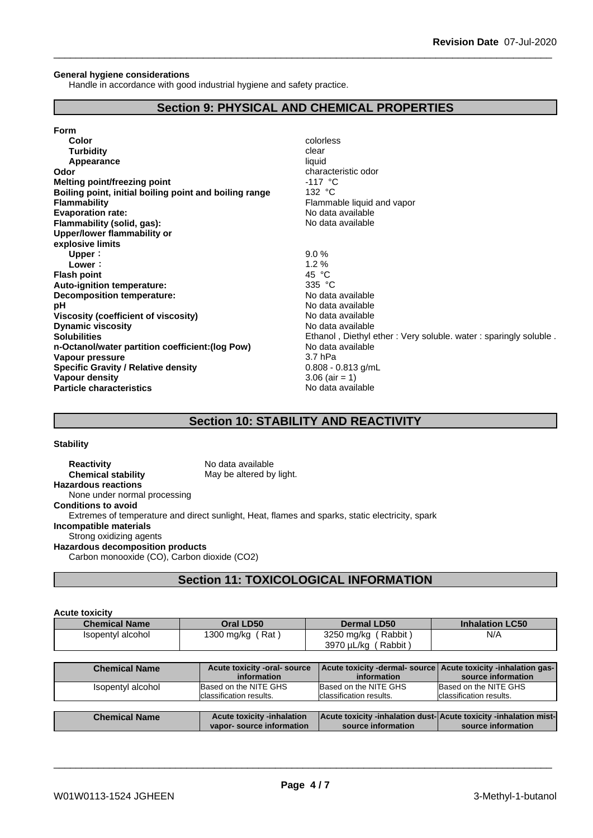### **General hygiene considerations**

Handle in accordance with good industrial hygiene and safety practice.

## **Section 9: PHYSICAL AND CHEMICAL PROPERTIES**

| Color                                                  | colorless                                   |
|--------------------------------------------------------|---------------------------------------------|
| <b>Turbidity</b>                                       | clear                                       |
| Appearance                                             | liquid                                      |
| Odor                                                   | characteristic odor                         |
| <b>Melting point/freezing point</b>                    | $-117$ °C                                   |
| Boiling point, initial boiling point and boiling range | 132 $\degree$ C                             |
| <b>Flammability</b>                                    | Flammable liquid and vapor                  |
| <b>Evaporation rate:</b>                               | No data available                           |
| Flammability (solid, gas):                             | No data available                           |
| Upper/lower flammability or                            |                                             |
| explosive limits                                       |                                             |
| Upper:                                                 | 9.0%                                        |
| Lower:                                                 | 1.2%                                        |
| <b>Flash point</b>                                     | 45 $\degree$ C                              |
| Auto-ignition temperature:                             | 335 $\degree$ C                             |
| Decomposition temperature:                             | No data available                           |
| рH                                                     | No data available                           |
| Viscosity (coefficient of viscosity)                   | No data available                           |
| <b>Dynamic viscosity</b>                               | No data available                           |
| <b>Solubilities</b>                                    | Ethanol, Diethyl ether: Very soluble. water |
| n-Octanol/water partition coefficient: (log Pow)       | No data available                           |
| Vapour pressure                                        | 3.7 <sub>hPa</sub>                          |
| <b>Specific Gravity / Relative density</b>             | $0.808 - 0.813$ g/mL                        |
| Vapour density                                         | $3.06$ (air = 1)                            |
| <b>Particle characteristics</b>                        | No data available                           |

**Decomposition temperature:** No data available No data available **Viscosity (coefficient of viscosity)** No data available **Dynamic viscosity** No data available Ethanol , Diethyl ether : Very soluble. water : sparingly soluble . **n-Octanol/water partition coefficient:(log Pow)** No data available **Specific Gravity / Relative density** 0.808 - 0.813 g/mL  $3.06$  (air = 1) **Particle characteristics** No data available

## **Section 10: STABILITY AND REACTIVITY**

### **Stability**

**Reactivity** No data available **Chemical stability** May be altered by light. **Hazardous reactions** None under normal processing **Conditions to avoid** Extremes of temperature and direct sunlight, Heat, flames and sparks, static electricity, spark **Incompatible materials** Strong oxidizing agents **Hazardous decomposition products** Carbon monooxide (CO), Carbon dioxide (CO2)

**Section 11: TOXICOLOGICAL INFORMATION**

| <b>Acute toxicity</b> |                                                    |                                                                               |                        |
|-----------------------|----------------------------------------------------|-------------------------------------------------------------------------------|------------------------|
| <b>Chemical Name</b>  | Oral LD50                                          | <b>Dermal LD50</b>                                                            | <b>Inhalation LC50</b> |
| Isopentyl alcohol     | 1300 mg/kg (Rat)                                   | (Rabbit)<br>3250 mg/kg<br>3970 µL/kg (Rabbit)                                 | N/A                    |
|                       |                                                    |                                                                               |                        |
| <b>Chemical Name</b>  | Acute toxicity -oral- source<br><i>information</i> | Acute toxicity -dermal- source Acute toxicity -inhalation gas-<br>information | source information     |

| Isopentyl alcohol    | Based on the NITE GHS<br>Iclassification results. | Based on the NITE GHS<br>Iclassification results.                  | Based on the NITE GHS<br>Iclassification results. |
|----------------------|---------------------------------------------------|--------------------------------------------------------------------|---------------------------------------------------|
|                      |                                                   |                                                                    |                                                   |
|                      |                                                   |                                                                    |                                                   |
| <b>Chemical Name</b> | <b>Acute toxicity -inhalation</b>                 | Acute toxicity -inhalation dust-  Acute toxicity -inhalation mist- |                                                   |
|                      | vapor-source information                          | source information                                                 | source information                                |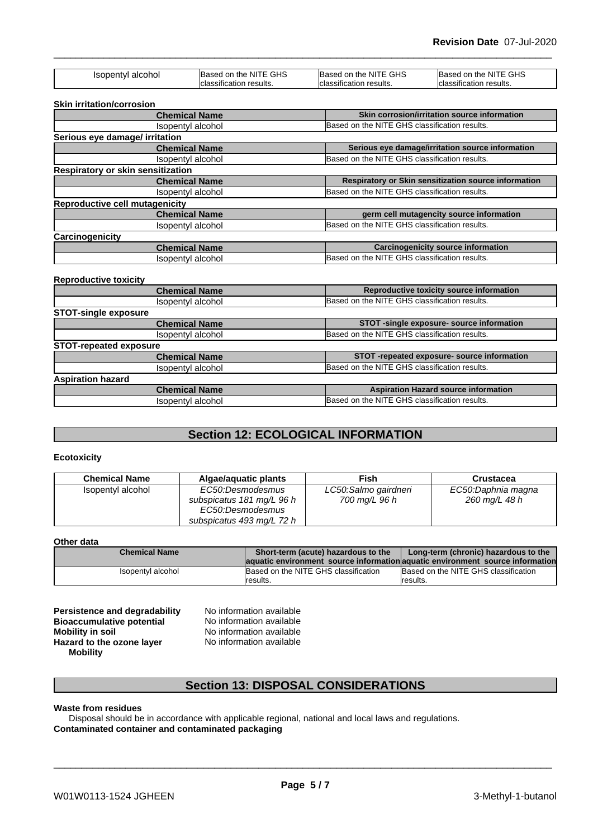| Isopentyl alcohol                     | Based on the NITE GHS   | Based on the NITE GHS                         | Based on the NITE GHS                                |  |
|---------------------------------------|-------------------------|-----------------------------------------------|------------------------------------------------------|--|
|                                       | classification results. | classification results.                       | <b>I</b> classification results.                     |  |
| <b>Skin irritation/corrosion</b>      |                         |                                               |                                                      |  |
|                                       | <b>Chemical Name</b>    |                                               | Skin corrosion/irritation source information         |  |
|                                       | Isopentyl alcohol       | Based on the NITE GHS classification results. |                                                      |  |
| Serious eye damage/ irritation        |                         |                                               |                                                      |  |
|                                       | <b>Chemical Name</b>    |                                               | Serious eye damage/irritation source information     |  |
|                                       | Isopentyl alcohol       |                                               | Based on the NITE GHS classification results.        |  |
| Respiratory or skin sensitization     |                         |                                               |                                                      |  |
|                                       | <b>Chemical Name</b>    |                                               | Respiratory or Skin sensitization source information |  |
|                                       | Isopentyl alcohol       | Based on the NITE GHS classification results. |                                                      |  |
| <b>Reproductive cell mutagenicity</b> |                         |                                               |                                                      |  |
|                                       | <b>Chemical Name</b>    |                                               | germ cell mutagencity source information             |  |
|                                       | Isopentyl alcohol       |                                               | Based on the NITE GHS classification results.        |  |
| Carcinogenicity                       |                         |                                               |                                                      |  |
|                                       | <b>Chemical Name</b>    |                                               | <b>Carcinogenicity source information</b>            |  |
|                                       | Isopentyl alcohol       | Based on the NITE GHS classification results. |                                                      |  |

### **Reproductive toxicity**

|                               | <b>Chemical Name</b> | Reproductive toxicity source information      |
|-------------------------------|----------------------|-----------------------------------------------|
|                               | Isopentyl alcohol    | Based on the NITE GHS classification results. |
| <b>STOT-single exposure</b>   |                      |                                               |
|                               | <b>Chemical Name</b> | STOT -single exposure- source information     |
|                               | Isopentyl alcohol    | Based on the NITE GHS classification results. |
| <b>STOT-repeated exposure</b> |                      |                                               |
|                               | <b>Chemical Name</b> | STOT -repeated exposure- source information   |
|                               | Isopentyl alcohol    | Based on the NITE GHS classification results. |
| <b>Aspiration hazard</b>      |                      |                                               |
|                               | <b>Chemical Name</b> | <b>Aspiration Hazard source information</b>   |
|                               | Isopentyl alcohol    | Based on the NITE GHS classification results. |

## **Section 12: ECOLOGICAL INFORMATION**

### **Ecotoxicity**

| <b>Chemical Name</b> | Algae/aguatic plants                                                                           | Fish                                  | Crustacea                           |
|----------------------|------------------------------------------------------------------------------------------------|---------------------------------------|-------------------------------------|
| Isopentyl alcohol    | EC50:Desmodesmus<br>subspicatus 181 mg/L 96 h<br>EC50:Desmodesmus<br>subspicatus 493 mg/L 72 h | LC50:Salmo gairdneri<br>700 mg/L 96 h | EC50:Daphnia magna<br>260 mg/L 48 h |

### **Other data**

| <b>Chemical Name</b> | Short-term (acute) hazardous to the                                            | Long-term (chronic) hazardous to the |
|----------------------|--------------------------------------------------------------------------------|--------------------------------------|
|                      | laquatic environment source information aquatic environment source information |                                      |
| Isopentyl alcohol    | Based on the NITE GHS classification                                           | Based on the NITE GHS classification |
|                      | Iresults.                                                                      | Iresults.                            |

**Persistence and degradability** No information available<br>**Bioaccumulative potential** No information available **Bioaccumulative potential<br>Mobility in soil Hazard** to the ozone layer **Mobility**

No information available<br>No information available

## **Section 13: DISPOSAL CONSIDERATIONS**

### **Waste from residues**

Disposal should be in accordance with applicable regional, national and local laws and regulations. **Contaminated container and contaminated packaging**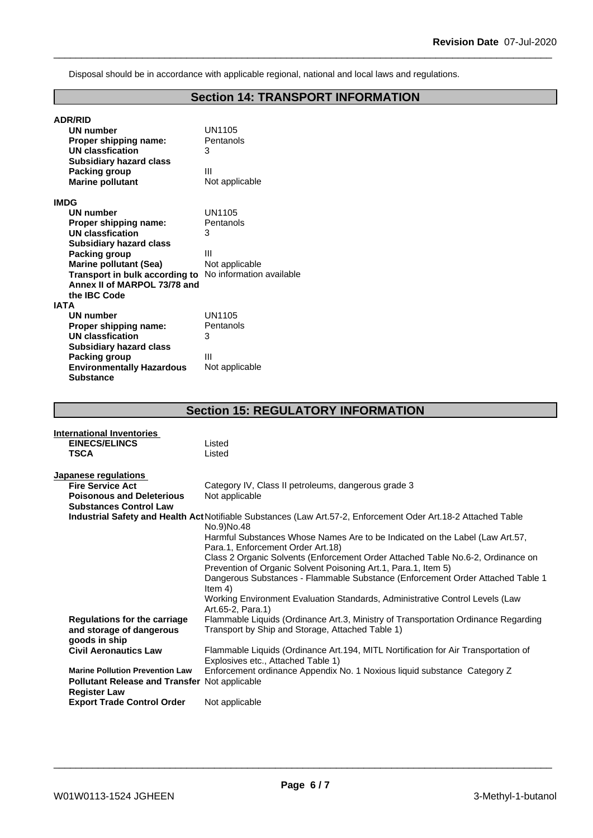Disposal should be in accordance with applicable regional, national and local laws and regulations.

## **Section 14: TRANSPORT INFORMATION**

| <b>ADR/RID</b>                   |                          |
|----------------------------------|--------------------------|
| UN number                        | UN1105                   |
| Proper shipping name:            | Pentanols                |
| <b>UN classfication</b>          | 3                        |
| <b>Subsidiary hazard class</b>   |                          |
| Packing group                    | Ш                        |
| <b>Marine pollutant</b>          | Not applicable           |
| <b>IMDG</b>                      |                          |
| <b>UN number</b>                 | UN1105                   |
| Proper shipping name:            | Pentanols                |
| <b>UN classfication</b>          | 3                        |
| <b>Subsidiary hazard class</b>   |                          |
| Packing group                    | Ш                        |
| <b>Marine pollutant (Sea)</b>    | Not applicable           |
| Transport in bulk according to   | No information available |
| Annex II of MARPOL 73/78 and     |                          |
| the IBC Code                     |                          |
| <b>IATA</b>                      |                          |
| <b>UN number</b>                 | UN1105                   |
| Proper shipping name:            | Pentanols                |
| UN classfication                 | 3                        |
| <b>Subsidiary hazard class</b>   |                          |
| Packing group                    | Ш                        |
| <b>Environmentally Hazardous</b> | Not applicable           |
| <b>Substance</b>                 |                          |

## **Section 15: REGULATORY INFORMATION**

| <b>International Inventories</b>                     |                                                                                                                                                   |
|------------------------------------------------------|---------------------------------------------------------------------------------------------------------------------------------------------------|
| <b>EINECS/ELINCS</b>                                 | Listed                                                                                                                                            |
| <b>TSCA</b>                                          | Listed                                                                                                                                            |
|                                                      |                                                                                                                                                   |
| Japanese regulations                                 |                                                                                                                                                   |
| <b>Fire Service Act</b>                              | Category IV, Class II petroleums, dangerous grade 3                                                                                               |
| <b>Poisonous and Deleterious</b>                     | Not applicable                                                                                                                                    |
| <b>Substances Control Law</b>                        |                                                                                                                                                   |
|                                                      | Industrial Safety and Health Act Notifiable Substances (Law Art.57-2, Enforcement Oder Art.18-2 Attached Table<br>No.9)No.48                      |
|                                                      | Harmful Substances Whose Names Are to be Indicated on the Label (Law Art.57,<br>Para.1, Enforcement Order Art.18)                                 |
|                                                      | Class 2 Organic Solvents (Enforcement Order Attached Table No.6-2, Ordinance on<br>Prevention of Organic Solvent Poisoning Art.1, Para.1, Item 5) |
|                                                      | Dangerous Substances - Flammable Substance (Enforcement Order Attached Table 1<br>Item $4)$                                                       |
|                                                      | Working Environment Evaluation Standards, Administrative Control Levels (Law<br>Art.65-2, Para.1)                                                 |
| <b>Regulations for the carriage</b>                  | Flammable Liquids (Ordinance Art.3, Ministry of Transportation Ordinance Regarding                                                                |
| and storage of dangerous                             | Transport by Ship and Storage, Attached Table 1)                                                                                                  |
| goods in ship                                        |                                                                                                                                                   |
| <b>Civil Aeronautics Law</b>                         | Flammable Liquids (Ordinance Art.194, MITL Nortification for Air Transportation of                                                                |
|                                                      | Explosives etc., Attached Table 1)                                                                                                                |
| <b>Marine Pollution Prevention Law</b>               | Enforcement ordinance Appendix No. 1 Noxious liquid substance Category Z                                                                          |
| <b>Pollutant Release and Transfer Not applicable</b> |                                                                                                                                                   |
| <b>Register Law</b>                                  |                                                                                                                                                   |
| <b>Export Trade Control Order</b>                    | Not applicable                                                                                                                                    |
|                                                      |                                                                                                                                                   |